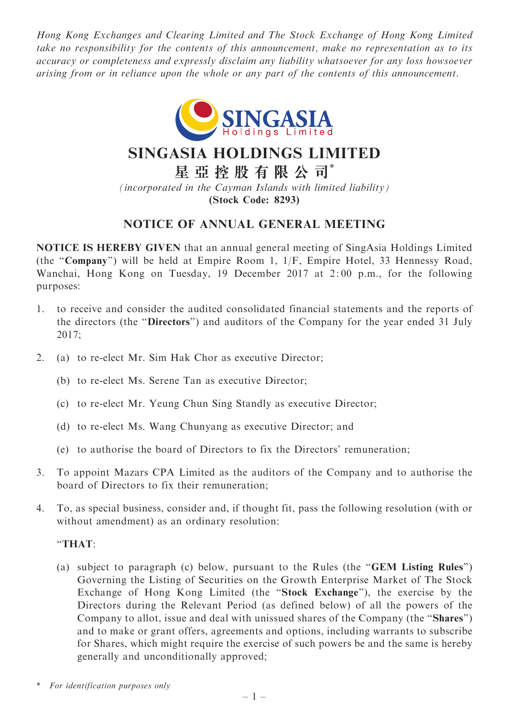Hong Kong Exchanges and Clearing Limited and The Stock Exchange of Hong Kong Limited take no responsibility for the contents of this announcement, make no representation as to its accuracy or completeness and expressly disclaim any liability whatsoever for any loss howsoever arising from or in reliance upon the whole or any part of the contents of this announcement.



# SINGASIA HOLDINGS LIMITED

星 亞 控 股 有 限 公 司\*

(incorporated in the Cayman Islands with limited liability) (Stock Code: 8293)

# NOTICE OF ANNUAL GENERAL MEETING

NOTICE IS HEREBY GIVEN that an annual general meeting of SingAsia Holdings Limited (the ''Company'') will be held at Empire Room 1, 1/F, Empire Hotel, 33 Hennessy Road, Wanchai, Hong Kong on Tuesday, 19 December 2017 at 2: 00 p.m., for the following purposes:

- 1. to receive and consider the audited consolidated financial statements and the reports of the directors (the ''Directors'') and auditors of the Company for the year ended 31 July 2017;
- 2. (a) to re-elect Mr. Sim Hak Chor as executive Director;
	- (b) to re-elect Ms. Serene Tan as executive Director;
	- (c) to re-elect Mr. Yeung Chun Sing Standly as executive Director;
	- (d) to re-elect Ms. Wang Chunyang as executive Director; and
	- (e) to authorise the board of Directors to fix the Directors' remuneration;
- 3. To appoint Mazars CPA Limited as the auditors of the Company and to authorise the board of Directors to fix their remuneration;
- 4. To, as special business, consider and, if thought fit, pass the following resolution (with or without amendment) as an ordinary resolution:

#### ''THAT:

(a) subject to paragraph (c) below, pursuant to the Rules (the ''GEM Listing Rules'') Governing the Listing of Securities on the Growth Enterprise Market of The Stock Exchange of Hong Kong Limited (the ''Stock Exchange''), the exercise by the Directors during the Relevant Period (as defined below) of all the powers of the Company to allot, issue and deal with unissued shares of the Company (the ''Shares'') and to make or grant offers, agreements and options, including warrants to subscribe for Shares, which might require the exercise of such powers be and the same is hereby generally and unconditionally approved;

For identification purposes only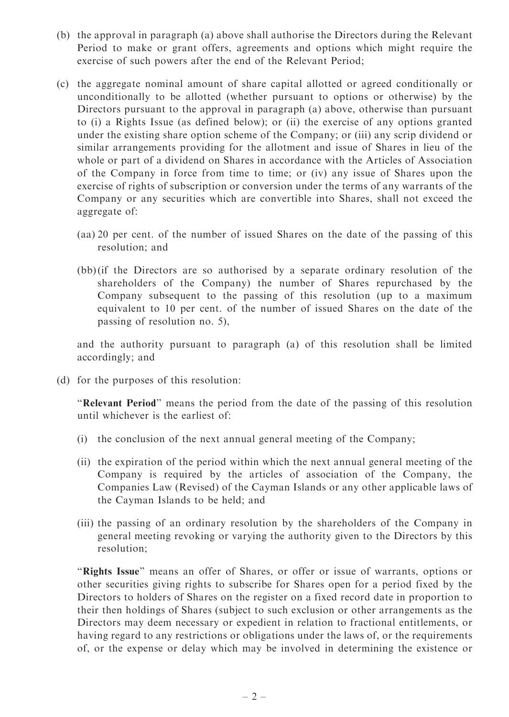- (b) the approval in paragraph (a) above shall authorise the Directors during the Relevant Period to make or grant offers, agreements and options which might require the exercise of such powers after the end of the Relevant Period;
- (c) the aggregate nominal amount of share capital allotted or agreed conditionally or unconditionally to be allotted (whether pursuant to options or otherwise) by the Directors pursuant to the approval in paragraph (a) above, otherwise than pursuant to (i) a Rights Issue (as defined below); or (ii) the exercise of any options granted under the existing share option scheme of the Company; or (iii) any scrip dividend or similar arrangements providing for the allotment and issue of Shares in lieu of the whole or part of a dividend on Shares in accordance with the Articles of Association of the Company in force from time to time; or (iv) any issue of Shares upon the exercise of rights of subscription or conversion under the terms of any warrants of the Company or any securities which are convertible into Shares, shall not exceed the aggregate of:
	- (aa) 20 per cent. of the number of issued Shares on the date of the passing of this resolution; and
	- (bb) (if the Directors are so authorised by a separate ordinary resolution of the shareholders of the Company) the number of Shares repurchased by the Company subsequent to the passing of this resolution (up to a maximum equivalent to 10 per cent. of the number of issued Shares on the date of the passing of resolution no. 5),

and the authority pursuant to paragraph (a) of this resolution shall be limited accordingly; and

(d) for the purposes of this resolution:

''Relevant Period'' means the period from the date of the passing of this resolution until whichever is the earliest of:

- (i) the conclusion of the next annual general meeting of the Company;
- (ii) the expiration of the period within which the next annual general meeting of the Company is required by the articles of association of the Company, the Companies Law (Revised) of the Cayman Islands or any other applicable laws of the Cayman Islands to be held; and
- (iii) the passing of an ordinary resolution by the shareholders of the Company in general meeting revoking or varying the authority given to the Directors by this resolution;

"Rights Issue" means an offer of Shares, or offer or issue of warrants, options or other securities giving rights to subscribe for Shares open for a period fixed by the Directors to holders of Shares on the register on a fixed record date in proportion to their then holdings of Shares (subject to such exclusion or other arrangements as the Directors may deem necessary or expedient in relation to fractional entitlements, or having regard to any restrictions or obligations under the laws of, or the requirements of, or the expense or delay which may be involved in determining the existence or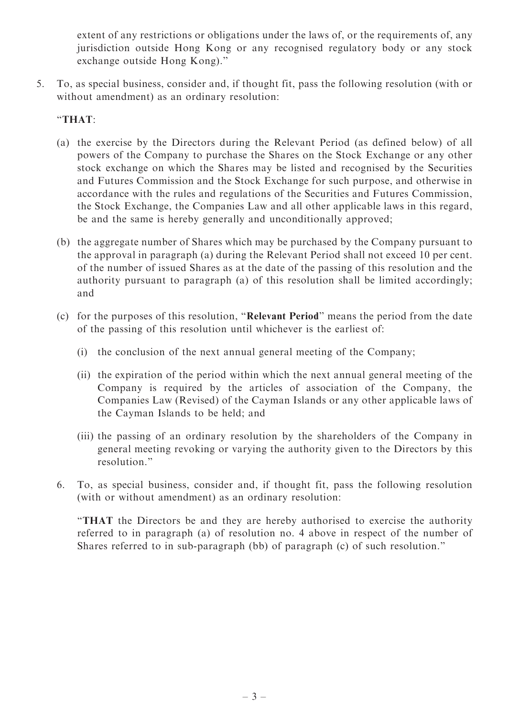extent of any restrictions or obligations under the laws of, or the requirements of, any jurisdiction outside Hong Kong or any recognised regulatory body or any stock exchange outside Hong Kong).''

5. To, as special business, consider and, if thought fit, pass the following resolution (with or without amendment) as an ordinary resolution:

## ''THAT:

- (a) the exercise by the Directors during the Relevant Period (as defined below) of all powers of the Company to purchase the Shares on the Stock Exchange or any other stock exchange on which the Shares may be listed and recognised by the Securities and Futures Commission and the Stock Exchange for such purpose, and otherwise in accordance with the rules and regulations of the Securities and Futures Commission, the Stock Exchange, the Companies Law and all other applicable laws in this regard, be and the same is hereby generally and unconditionally approved;
- (b) the aggregate number of Shares which may be purchased by the Company pursuant to the approval in paragraph (a) during the Relevant Period shall not exceed 10 per cent. of the number of issued Shares as at the date of the passing of this resolution and the authority pursuant to paragraph (a) of this resolution shall be limited accordingly; and
- (c) for the purposes of this resolution, ''Relevant Period'' means the period from the date of the passing of this resolution until whichever is the earliest of:
	- (i) the conclusion of the next annual general meeting of the Company;
	- (ii) the expiration of the period within which the next annual general meeting of the Company is required by the articles of association of the Company, the Companies Law (Revised) of the Cayman Islands or any other applicable laws of the Cayman Islands to be held; and
	- (iii) the passing of an ordinary resolution by the shareholders of the Company in general meeting revoking or varying the authority given to the Directors by this resolution.''
- 6. To, as special business, consider and, if thought fit, pass the following resolution (with or without amendment) as an ordinary resolution:

''THAT the Directors be and they are hereby authorised to exercise the authority referred to in paragraph (a) of resolution no. 4 above in respect of the number of Shares referred to in sub-paragraph (bb) of paragraph (c) of such resolution.''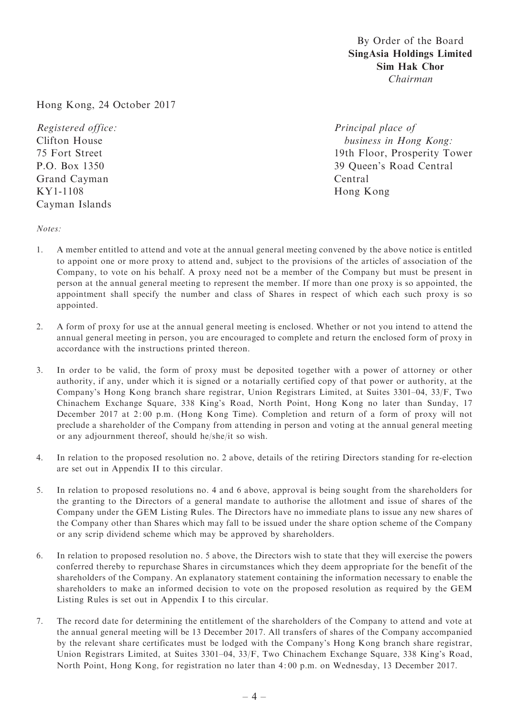### By Order of the Board SingAsia Holdings Limited Sim Hak Chor Chairman

Hong Kong, 24 October 2017

Registered office: Clifton House 75 Fort Street P.O. Box 1350 Grand Cayman KY1-1108 Cayman Islands

Principal place of business in Hong Kong: 19th Floor, Prosperity Tower 39 Queen's Road Central Central Hong Kong

Notes:

- 1. A member entitled to attend and vote at the annual general meeting convened by the above notice is entitled to appoint one or more proxy to attend and, subject to the provisions of the articles of association of the Company, to vote on his behalf. A proxy need not be a member of the Company but must be present in person at the annual general meeting to represent the member. If more than one proxy is so appointed, the appointment shall specify the number and class of Shares in respect of which each such proxy is so appointed.
- 2. A form of proxy for use at the annual general meeting is enclosed. Whether or not you intend to attend the annual general meeting in person, you are encouraged to complete and return the enclosed form of proxy in accordance with the instructions printed thereon.
- 3. In order to be valid, the form of proxy must be deposited together with a power of attorney or other authority, if any, under which it is signed or a notarially certified copy of that power or authority, at the Company's Hong Kong branch share registrar, Union Registrars Limited, at Suites 3301–04, 33/F, Two Chinachem Exchange Square, 338 King's Road, North Point, Hong Kong no later than Sunday, 17 December 2017 at 2: 00 p.m. (Hong Kong Time). Completion and return of a form of proxy will not preclude a shareholder of the Company from attending in person and voting at the annual general meeting or any adjournment thereof, should he/she/it so wish.
- 4. In relation to the proposed resolution no. 2 above, details of the retiring Directors standing for re-election are set out in Appendix II to this circular.
- 5. In relation to proposed resolutions no. 4 and 6 above, approval is being sought from the shareholders for the granting to the Directors of a general mandate to authorise the allotment and issue of shares of the Company under the GEM Listing Rules. The Directors have no immediate plans to issue any new shares of the Company other than Shares which may fall to be issued under the share option scheme of the Company or any scrip dividend scheme which may be approved by shareholders.
- 6. In relation to proposed resolution no. 5 above, the Directors wish to state that they will exercise the powers conferred thereby to repurchase Shares in circumstances which they deem appropriate for the benefit of the shareholders of the Company. An explanatory statement containing the information necessary to enable the shareholders to make an informed decision to vote on the proposed resolution as required by the GEM Listing Rules is set out in Appendix I to this circular.
- 7. The record date for determining the entitlement of the shareholders of the Company to attend and vote at the annual general meeting will be 13 December 2017. All transfers of shares of the Company accompanied by the relevant share certificates must be lodged with the Company's Hong Kong branch share registrar, Union Registrars Limited, at Suites 3301–04, 33/F, Two Chinachem Exchange Square, 338 King's Road, North Point, Hong Kong, for registration no later than 4: 00 p.m. on Wednesday, 13 December 2017.